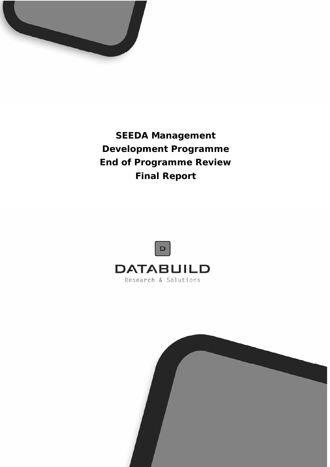

**SEEDA Management Development Programme End of Programme Review Final Report** 



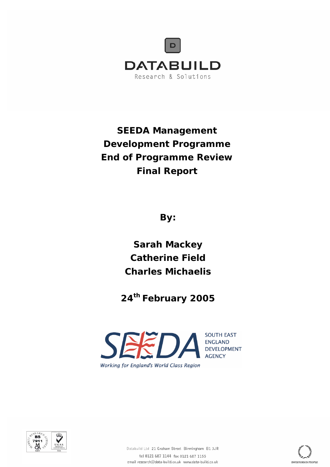

**SEEDA Management Development Programme End of Programme Review Final Report** 

**By:** 

**Sarah Mackey Catherine Field Charles Michaelis** 

**24th February 2005** 



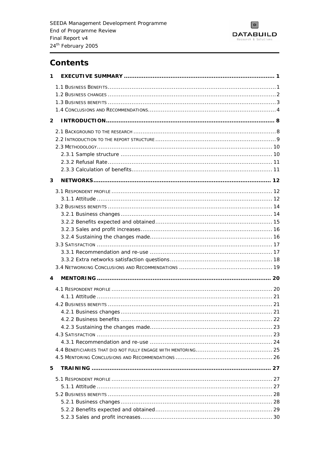

# **Contents**

| 1              |  |
|----------------|--|
|                |  |
|                |  |
|                |  |
|                |  |
| $\overline{2}$ |  |
|                |  |
|                |  |
|                |  |
|                |  |
|                |  |
|                |  |
| 3              |  |
|                |  |
|                |  |
|                |  |
|                |  |
|                |  |
|                |  |
|                |  |
|                |  |
|                |  |
|                |  |
|                |  |
| 4              |  |
|                |  |
|                |  |
|                |  |
|                |  |
|                |  |
|                |  |
|                |  |
|                |  |
|                |  |
|                |  |
| 5              |  |
|                |  |
|                |  |
|                |  |
|                |  |
|                |  |
|                |  |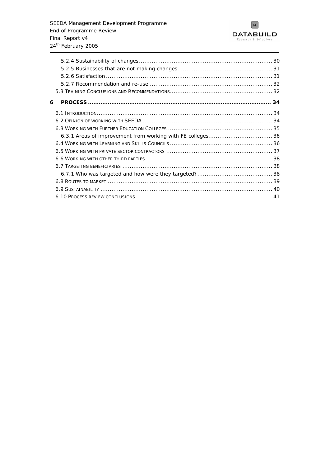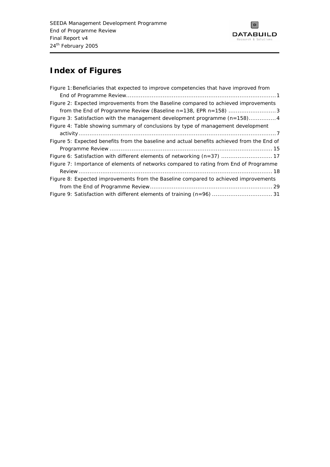

# **Index of Figures**

| Figure 1: Beneficiaries that expected to improve competencies that have improved from      |
|--------------------------------------------------------------------------------------------|
|                                                                                            |
| Figure 2: Expected improvements from the Baseline compared to achieved improvements        |
| from the End of Programme Review (Baseline n=138, EPR n=158) 3                             |
| Figure 3: Satisfaction with the management development programme (n=158)4                  |
| Figure 4: Table showing summary of conclusions by type of management development           |
|                                                                                            |
| Figure 5: Expected benefits from the baseline and actual benefits achieved from the End of |
|                                                                                            |
| Figure 6: Satisfaction with different elements of networking (n=37)  17                    |
| Figure 7: Importance of elements of networks compared to rating from End of Programme      |
|                                                                                            |
| Figure 8: Expected improvements from the Baseline compared to achieved improvements        |
|                                                                                            |
| Figure 9: Satisfaction with different elements of training (n=96)  31                      |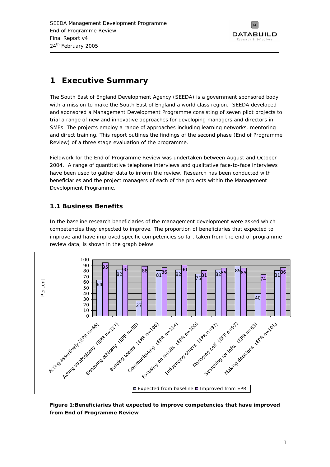

# <span id="page-5-0"></span>**1 Executive Summary**

The South East of England Development Agency (SEEDA) is a government sponsored body with a mission to make the South East of England a world class region. SEEDA developed and sponsored a Management Development Programme consisting of seven pilot projects to trial a range of new and innovative approaches for developing managers and directors in SMEs. The projects employ a range of approaches including learning networks, mentoring and direct training. This report outlines the findings of the second phase (End of Programme Review) of a three stage evaluation of the programme.

Fieldwork for the End of Programme Review was undertaken between August and October 2004. A range of quantitative telephone interviews and qualitative face-to-face interviews have been used to gather data to inform the review. Research has been conducted with beneficiaries and the project managers of each of the projects within the Management Development Programme.

# **1.1 Business Benefits**

In the baseline research beneficiaries of the management development were asked which competencies they expected to improve. The proportion of beneficiaries that expected to improve and have improved specific competencies so far, taken from the end of programme review data, is shown in the graph below.



### **Figure 1:Beneficiaries that expected to improve competencies that have improved from End of Programme Review**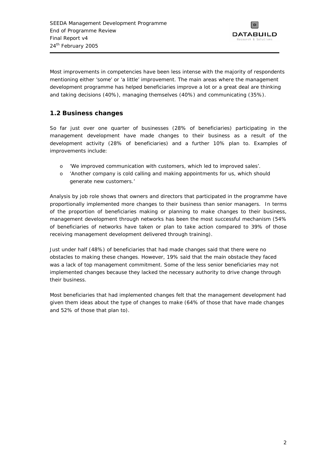

<span id="page-6-0"></span>Most improvements in competencies have been less intense with the majority of respondents mentioning either 'some' or 'a little' improvement. The main areas where the management development programme has helped beneficiaries improve a lot or a great deal are thinking and taking decisions (40%), managing themselves (40%) and communicating (35%).

# **1.2 Business changes**

So far just over one quarter of businesses (28% of beneficiaries) participating in the management development have made changes to their business as a result of the development activity (28% of beneficiaries) and a further 10% plan to. Examples of improvements include:

- 'We improved communication with customers, which led to improved sales'.
- o *'Another company is cold calling and making appointments for us, which should generate new customers.'*

Analysis by job role shows that owners and directors that participated in the programme have proportionally implemented more changes to their business than senior managers. In terms of the proportion of beneficiaries making or planning to make changes to their business, management development through networks has been the most successful mechanism (54% of beneficiaries of networks have taken or plan to take action compared to 39% of those receiving management development delivered through training).

Just under half (48%) of beneficiaries that had made changes said that there were no obstacles to making these changes. However, 19% said that the main obstacle they faced was a lack of top management commitment. Some of the less senior beneficiaries may not implemented changes because they lacked the necessary authority to drive change through their business.

Most beneficiaries that had implemented changes felt that the management development had given them ideas about the type of changes to make (64% of those that have made changes and 52% of those that plan to).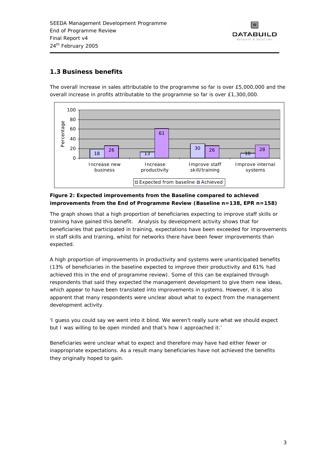

# <span id="page-7-0"></span>**1.3 Business benefits**

The overall increase in sales attributable to the programme so far is over £5,000,000 and the overall increase in profits attributable to the programme so far is over £1,300,000.



### **Figure 2: Expected improvements from the Baseline compared to achieved improvements from the End of Programme Review (Baseline n=138, EPR n=158)**

The graph shows that a high proportion of beneficiaries expecting to improve staff skills or training have gained this benefit. Analysis by development activity shows that for beneficiaries that participated in training, expectations have been exceeded for improvements in staff skills and training, whilst for networks there have been fewer improvements than expected.

A high proportion of improvements in productivity and systems were unanticipated benefits (13% of beneficiaries in the baseline expected to improve their productivity and 61% had achieved this in the end of programme review). Some of this can be explained through respondents that said they expected the management development to give them new ideas, which appear to have been translated into improvements in systems. However, it is also apparent that many respondents were unclear about what to expect from the management development activity.

*'I guess you could say we went into it blind. We weren't really sure what we should expect but I was willing to be open minded and that's how I approached it.'* 

Beneficiaries were unclear what to expect and therefore may have had either fewer or inappropriate expectations. As a result many beneficiaries have not achieved the benefits they originally hoped to gain.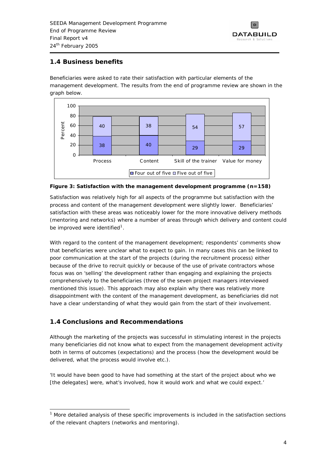

## <span id="page-8-0"></span>**1.4 Business benefits**

Beneficiaries were asked to rate their satisfaction with particular elements of the management development. The results from the end of programme review are shown in the graph below.



#### **Figure 3: Satisfaction with the management development programme (n=158)**

Satisfaction was relatively high for all aspects of the programme but satisfaction with the process and content of the management development were slightly lower. Beneficiaries' satisfaction with these areas was noticeably lower for the more innovative delivery methods (mentoring and networks) where a number of areas through which delivery and content could be improved were identified<sup>[1](#page-8-0)</sup>.

With regard to the content of the management development; respondents' comments show that beneficiaries were unclear what to expect to gain. In many cases this can be linked to poor communication at the start of the projects (during the recruitment process) either because of the drive to recruit quickly or because of the use of private contractors whose focus was on 'selling' the development rather than engaging and explaining the projects comprehensively to the beneficiaries (three of the seven project managers interviewed mentioned this issue). This approach may also explain why there was relatively more disappointment with the content of the management development, as beneficiaries did not have a clear understanding of what they would gain from the start of their involvement.

# **1.4 Conclusions and Recommendations**

Although the marketing of the projects was successful in stimulating interest in the projects many beneficiaries did not know what to expect from the management development activity both in terms of outcomes (expectations) and the process (how the development would be delivered, what the process would involve etc.).

*'It would have been good to have had something at the start of the project about who we [the delegates] were, what's involved, how it would work and what we could expect.'* 

<sup>-</sup> $<sup>1</sup>$  More detailed analysis of these specific improvements is included in the satisfaction sections</sup> of the relevant chapters (networks and mentoring).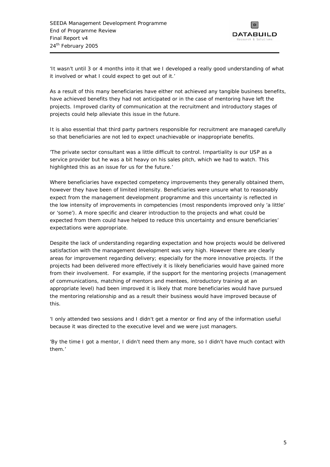

*'It wasn't until 3 or 4 months into it that we I developed a really good understanding of what it involved or what I could expect to get out of it.'* 

As a result of this many beneficiaries have either not achieved any tangible business benefits, have achieved benefits they had not anticipated or in the case of mentoring have left the projects. Improved clarity of communication at the recruitment and introductory stages of projects could help alleviate this issue in the future.

It is also essential that third party partners responsible for recruitment are managed carefully so that beneficiaries are not led to expect unachievable or inappropriate benefits.

*'The private sector consultant was a little difficult to control. Impartiality is our USP as a service provider but he was a bit heavy on his sales pitch, which we had to watch. This highlighted this as an issue for us for the future.'* 

Where beneficiaries have expected competency improvements they generally obtained them, however they have been of limited intensity. Beneficiaries were unsure what to reasonably expect from the management development programme and this uncertainty is reflected in the low intensity of improvements in competencies (most respondents improved only 'a little' or 'some'). A more specific and clearer introduction to the projects and what could be expected from them could have helped to reduce this uncertainty and ensure beneficiaries' expectations were appropriate.

Despite the lack of understanding regarding expectation and how projects would be delivered satisfaction with the management development was very high. However there are clearly areas for improvement regarding delivery; especially for the more innovative projects. If the projects had been delivered more effectively it is likely beneficiaries would have gained more from their involvement. For example, if the support for the mentoring projects (management of communications, matching of mentors and mentees, introductory training at an appropriate level) had been improved it is likely that more beneficiaries would have pursued the mentoring relationship and as a result their business would have improved because of this.

*'I only attended two sessions and I didn't get a mentor or find any of the information useful because it was directed to the executive level and we were just managers.* 

'By the time I got a mentor, I didn't need them any more, so I didn't have much contact with *them.'*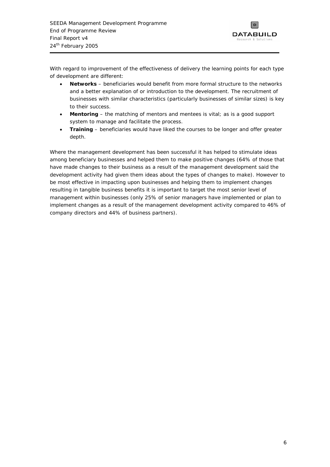

With regard to improvement of the effectiveness of delivery the learning points for each type of development are different:

- **Networks** beneficiaries would benefit from more formal structure to the networks and a better explanation of or introduction to the development. The recruitment of businesses with similar characteristics (particularly businesses of similar sizes) is key to their success.
- **Mentoring** the matching of mentors and mentees is vital; as is a good support system to manage and facilitate the process.
- **Training** beneficiaries would have liked the courses to be longer and offer greater depth.

Where the management development has been successful it has helped to stimulate ideas among beneficiary businesses and helped them to make positive changes (64% of those that have made changes to their business as a result of the management development said the development activity had given them ideas about the types of changes to make). However to be most effective in impacting upon businesses and helping them to implement changes resulting in tangible business benefits it is important to target the most senior level of management within businesses (only 25% of senior managers have implemented or plan to implement changes as a result of the management development activity compared to 46% of company directors and 44% of business partners).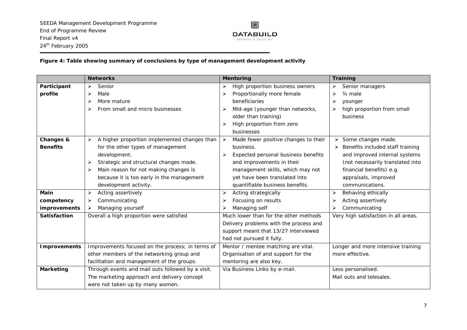

### **Figure 4: Table showing summary of conclusions by type of management development activity**

<span id="page-11-0"></span>

|                                      | <b>Networks</b>                                   | <b>Mentoring</b>                                              | <b>Training</b>                             |
|--------------------------------------|---------------------------------------------------|---------------------------------------------------------------|---------------------------------------------|
| Participant                          | Senior<br>⋗                                       | High proportion business owners                               | Senior managers<br>➤                        |
| profile                              | Male<br>➤                                         | Proportionally more female<br>➤                               | ➤<br>$3/4$ male                             |
|                                      | More mature<br>⋗                                  | beneficiaries                                                 | ➤<br>younger                                |
| From small and micro businesses<br>⋗ |                                                   | Mid-age (younger than networks,                               | high proportion from small<br>⋗             |
|                                      |                                                   | older than training)                                          | business                                    |
|                                      |                                                   | High proportion from zero                                     |                                             |
|                                      |                                                   | businesses                                                    |                                             |
| Changes &                            | A higher proportion implemented changes than<br>➤ | $\blacktriangleright$<br>Made fewer positive changes to their | Some changes made.<br>➤                     |
| <b>Benefits</b>                      | for the other types of management                 | business.                                                     | Benefits included staff training            |
|                                      | development.                                      | Expected personal business benefits<br>➤                      | and improved internal systems               |
|                                      | Strategic and structural changes made.<br>➤       | and improvements in their                                     | (not necessarily translated into            |
|                                      | Main reason for not making changes is<br>➤        | management skills, which may not                              | financial benefits) e.g.                    |
|                                      | because it is too early in the management         | yet have been translated into                                 | appraisals, improved                        |
|                                      | development activity.                             | quantifiable business benefits.                               | communications.                             |
| Main                                 | Acting assertively<br>➤                           | Acting strategically<br>➤                                     | Behaving ethically<br>$\blacktriangleright$ |
| competency                           | Communicating<br>➤                                | Focusing on results                                           | Acting assertively<br>⋗                     |
| improvements                         | Managing yourself<br>➤                            | Managing self                                                 | Communicating<br>➤                          |
| <b>Satisfaction</b>                  | Overall a high proportion were satisfied          | Much lower than for the other methods                         | Very high satisfaction in all areas.        |
|                                      |                                                   | Delivery problems with the process and                        |                                             |
|                                      |                                                   | support meant that 13/27 interviewed                          |                                             |
|                                      |                                                   | had not pursued it fully.                                     |                                             |
| <b>Improvements</b>                  | Improvements focused on the process; in terms of  | Mentor / mentee matching are vital.                           | Longer and more intensive training          |
|                                      | other members of the networking group and         | Organisation of and support for the                           | more effective.                             |
|                                      | facilitation and management of the groups.        | mentoring are also key.                                       |                                             |
| <b>Marketing</b>                     | Through events and mail outs followed by a visit. | Via Business Links by e-mail.                                 | Less personalised.                          |
|                                      | The marketing approach and delivery concept       |                                                               | Mail outs and telesales.                    |
|                                      | were not taken up by many women.                  |                                                               |                                             |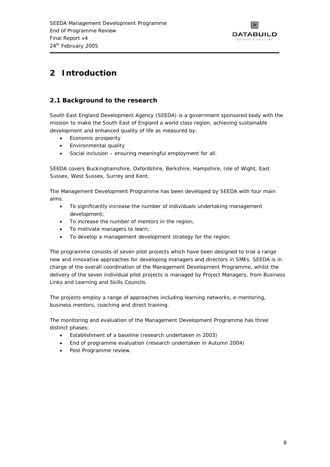

# <span id="page-12-0"></span>**2 Introduction**

## **2.1 Background to the research**

South East England Development Agency (SEEDA) is a government sponsored body with the mission to make the South East of England a world class region, achieving sustainable development and enhanced quality of life as measured by:

- Economic prosperity
- Environmental quality
- Social inclusion ensuring meaningful employment for all.

SEEDA covers Buckinghamshire, Oxfordshire, Berkshire, Hampshire, Isle of Wight, East Sussex, West Sussex, Surrey and Kent.

The Management Development Programme has been developed by SEEDA with four main aims.

- To significantly increase the number of individuals undertaking management development;
- To increase the number of mentors in the region;
- To motivate managers to learn;
- To develop a management development strategy for the region.

The programme consists of seven pilot projects which have been designed to trial a range new and innovative approaches for developing managers and directors in SMEs. SEEDA is in charge of the overall coordination of the Management Development Programme, whilst the delivery of the seven individual pilot projects is managed by Project Managers, from Business Links and Learning and Skills Councils.

The projects employ a range of approaches including learning networks, e-mentoring, business mentors, coaching and direct training.

The monitoring and evaluation of the Management Development Programme has three distinct phases:

- Establishment of a baseline (research undertaken in 2003)
- End of programme evaluation (research undertaken in Autumn 2004)
- Post Programme review.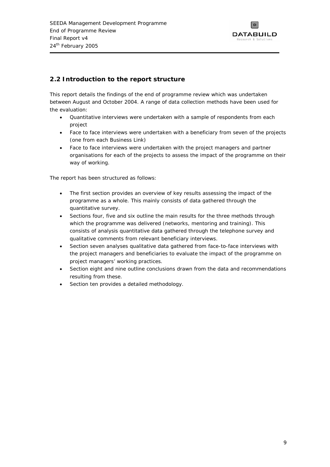

# <span id="page-13-0"></span>**2.2 Introduction to the report structure**

This report details the findings of the end of programme review which was undertaken between August and October 2004. A range of data collection methods have been used for the evaluation:

- Quantitative interviews were undertaken with a sample of respondents from each project
- Face to face interviews were undertaken with a beneficiary from seven of the projects (one from each Business Link)
- Face to face interviews were undertaken with the project managers and partner organisations for each of the projects to assess the impact of the programme on their way of working.

The report has been structured as follows:

- The first section provides an overview of key results assessing the impact of the programme as a whole. This mainly consists of data gathered through the quantitative survey.
- Sections four, five and six outline the main results for the three methods through which the programme was delivered (networks, mentoring and training). This consists of analysis quantitative data gathered through the telephone survey and qualitative comments from relevant beneficiary interviews.
- Section seven analyses qualitative data gathered from face-to-face interviews with the project managers and beneficiaries to evaluate the impact of the programme on project managers' working practices.
- Section eight and nine outline conclusions drawn from the data and recommendations resulting from these.
- Section ten provides a detailed methodology.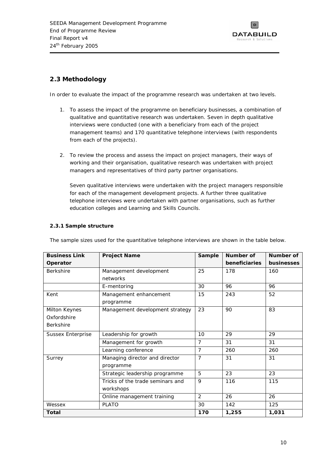

# <span id="page-14-0"></span>**2.3 Methodology**

In order to evaluate the impact of the programme research was undertaken at two levels.

- 1. To assess the impact of the programme on beneficiary businesses, a combination of qualitative and quantitative research was undertaken. Seven in depth qualitative interviews were conducted (one with a beneficiary from each of the project management teams) and 170 quantitative telephone interviews (with respondents from each of the projects).
- 2. To review the process and assess the impact on project managers, their ways of working and their organisation, qualitative research was undertaken with project managers and representatives of third party partner organisations.

Seven qualitative interviews were undertaken with the project managers responsible for each of the management development projects. A further three qualitative telephone interviews were undertaken with partner organisations, such as further education colleges and Learning and Skills Councils.

### **2.3.1 Sample structure**

| <b>Business Link</b>     | <b>Project Name</b>              | <b>Sample</b>  | Number of     | Number of         |
|--------------------------|----------------------------------|----------------|---------------|-------------------|
| Operator                 |                                  |                | beneficiaries | <b>businesses</b> |
| <b>Berkshire</b>         | Management development           | 25             | 178           | 160               |
|                          | networks                         |                |               |                   |
|                          | E-mentoring                      | 30             | 96            | 96                |
| Kent                     | Management enhancement           | 15             | 243           | 52                |
|                          | programme                        |                |               |                   |
| Milton Keynes            | Management development strategy  | 23             | 90            | 83                |
| Oxfordshire              |                                  |                |               |                   |
| <b>Berkshire</b>         |                                  |                |               |                   |
| <b>Sussex Enterprise</b> | Leadership for growth            | 10             | 29            | 29                |
|                          | Management for growth            | 7              | 31            | 31                |
|                          | Learning conference              | $\overline{7}$ | 260           | 260               |
| Surrey                   | Managing director and director   | $\overline{7}$ | 31            | 31                |
|                          | programme                        |                |               |                   |
|                          | Strategic leadership programme   | 5              | 23            | 23                |
|                          | Tricks of the trade seminars and | 9              | 116           | 115               |
|                          | workshops                        |                |               |                   |
|                          | Online management training       | $\overline{2}$ | 26            | 26                |
| Wessex                   | <b>PLATO</b>                     | 30             | 142           | 125               |
| Total                    |                                  | 170            | 1,255         | 1,031             |

The sample sizes used for the quantitative telephone interviews are shown in the table below.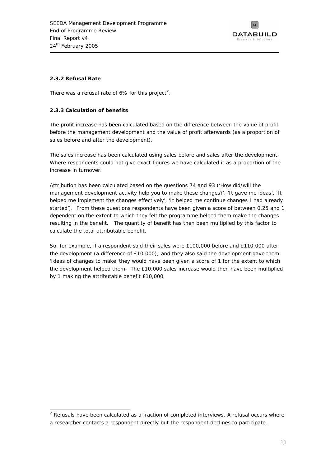

### <span id="page-15-0"></span>**2.3.2 Refusal Rate**

There was a refusal rate of 6% for this project<sup>[2](#page-15-0)</sup>.

### **2.3.3 Calculation of benefits**

The profit increase has been calculated based on the difference between the value of profit before the management development and the value of profit afterwards (as a proportion of sales before and after the development).

The sales increase has been calculated using sales before and sales after the development. Where respondents could not give exact figures we have calculated it as a proportion of the increase in turnover.

Attribution has been calculated based on the questions 74 and 93 (*'How did/will the management development activity help you to make these changes?*', *'It gave me ideas', 'It helped me implement the changes effectively', 'It helped me continue changes I had already started'*). From these questions respondents have been given a score of between 0.25 and 1 dependent on the extent to which they felt the programme helped them make the changes resulting in the benefit. The quantity of benefit has then been multiplied by this factor to calculate the total attributable benefit.

So, for example, if a respondent said their sales were £100,000 before and £110,000 after the development (a difference of £10,000); and they also said the development gave them *'Ideas of changes to make'* they would have been given a score of 1 for the extent to which the development helped them. The £10,000 sales increase would then have been multiplied by 1 making the attributable benefit £10,000.

j  $2$  Refusals have been calculated as a fraction of completed interviews. A refusal occurs where a researcher contacts a respondent directly but the respondent declines to participate.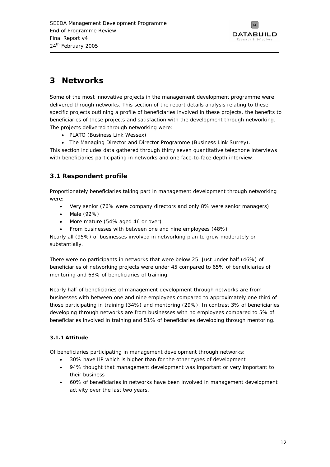

# <span id="page-16-0"></span>**3 Networks**

Some of the most innovative projects in the management development programme were delivered through networks. This section of the report details analysis relating to these specific projects outlining a profile of beneficiaries involved in these projects, the benefits to beneficiaries of these projects and satisfaction with the development through networking. The projects delivered through networking were:

- PLATO (Business Link Wessex)
- The Managing Director and Director Programme (Business Link Surrey).

This section includes data gathered through thirty seven quantitative telephone interviews with beneficiaries participating in networks and one face-to-face depth interview.

# **3.1 Respondent profile**

Proportionately beneficiaries taking part in management development through networking were:

- Very senior (76% were company directors and only 8% were senior managers)
- Male (92%)
- More mature (54% aged 46 or over)
- From businesses with between one and nine employees (48%)

Nearly all (95%) of businesses involved in networking plan to grow moderately or substantially.

There were no participants in networks that were below 25. Just under half (46%) of beneficiaries of networking projects were under 45 compared to 65% of beneficiaries of mentoring and 63% of beneficiaries of training.

Nearly half of beneficiaries of management development through networks are from businesses with between one and nine employees compared to approximately one third of those participating in training (34%) and mentoring (29%). In contrast 3% of beneficiaries developing through networks are from businesses with no employees compared to 5% of beneficiaries involved in training and 51% of beneficiaries developing through mentoring.

### **3.1.1 Attitude**

Of beneficiaries participating in management development through networks:

- 30% have IiP which is higher than for the other types of development
- 94% thought that management development was important or very important to their business
- 60% of beneficiaries in networks have been involved in management development activity over the last two years.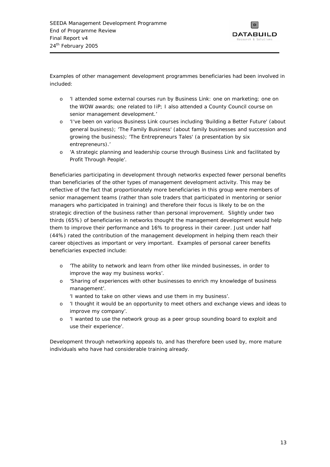

Examples of other management development programmes beneficiaries had been involved in included:

- o *'I attended some external courses run by Business Link: one on marketing; one on the WOW awards; one related to IiP; I also attended a County Council course on senior management development.'*
- o *'I've been on various Business Link courses including 'Building a Better Future' (about general business); 'The Family Business' (about family businesses and succession and growing the business); 'The Entrepreneurs Tales' (a presentation by six entrepreneurs).'*
- o *'A strategic planning and leadership course through Business Link and facilitated by Profit Through People'.*

Beneficiaries participating in development through networks expected fewer personal benefits than beneficiaries of the other types of management development activity. This may be reflective of the fact that proportionately more beneficiaries in this group were members of senior management teams (rather than sole traders that participated in mentoring or senior managers who participated in training) and therefore their focus is likely to be on the strategic direction of the business rather than personal improvement. Slightly under two thirds (65%) of beneficiaries in networks thought the management development would help them to improve their performance and 16% to progress in their career. Just under half (44%) rated the contribution of the management development in helping them reach their career objectives as important or very important. Examples of personal career benefits beneficiaries expected include:

- o *'The ability to network and learn from other like minded businesses, in order to improve the way my business works'.*
- o *'Sharing of experiences with other businesses to enrich my knowledge of business management'.* 
	- *'I wanted to take on other views and use them in my business'.*
- o *'I thought it would be an opportunity to meet others and exchange views and ideas to improve my company'.*
- o *'I wanted to use the network group as a peer group sounding board to exploit and use their experience'.*

Development through networking appeals to, and has therefore been used by, more mature individuals who have had considerable training already.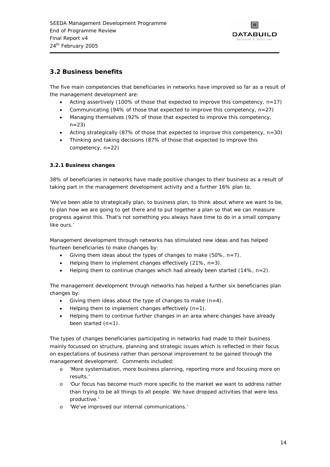

## <span id="page-18-0"></span>**3.2 Business benefits**

The five main competencies that beneficiaries in networks have improved so far as a result of the management development are:

- Acting assertively (100% of those that expected to improve this competency,  $n=17$ )
- Communicating (94% of those that expected to improve this competency, n=27)
- Managing themselves (92% of those that expected to improve this competency,  $n=23$
- Acting strategically (87% of those that expected to improve this competency,  $n=30$ )
- Thinking and taking decisions (87% of those that expected to improve this competency, n=22)

### **3.2.1 Business changes**

38% of beneficiaries in networks have made positive changes to their business as a result of taking part in the management development activity and a further 16% plan to.

*'We've been able to strategically plan, to business plan, to think about where we want to be, to plan how we are going to get there and to put together a plan so that we can measure progress against this. That's not something you always have time to do in a small company like ours.'* 

Management development through networks has stimulated new ideas and has helped fourteen beneficiaries to make changes by:

- Giving them ideas about the types of changes to make (50%,  $n=7$ ).
- Helping them to implement changes effectively  $(21\% , n=3)$ .
- Helping them to continue changes which had already been started  $(14\%, n=2)$ .

The management development through networks has helped a further six beneficiaries plan changes by:

- Giving them ideas about the type of changes to make  $(n=4)$ .
- Helping them to implement changes effectively  $(n=1)$ .
- Helping them to continue further changes in an area where changes have already been started  $(n=1)$ .

The types of changes beneficiaries participating in networks had made to their business mainly focussed on structure, planning and strategic issues which is reflected in their focus on expectations of business rather than personal improvement to be gained through the management development. Comments included:

- o *'More systemisation, more business planning, reporting more and focusing more on results.'*
- o *'Our focus has become much more specific to the market we want to address rather than trying to be all things to all people. We have dropped activities that were less productive.'*
- o *'We've improved our internal communications.'*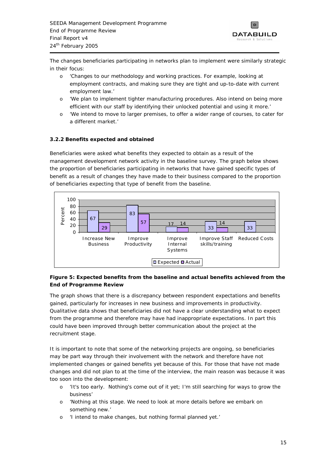

<span id="page-19-0"></span>The changes beneficiaries participating in networks plan to implement were similarly strategic in their focus:

- o *'Changes to our methodology and working practices. For example, looking at employment contracts, and making sure they are tight and up-to-date with current employment law.'*
- o *'We plan to implement tighter manufacturing procedures. Also intend on being more efficient with our staff by identifying their unlocked potential and using it more.'*
- o *'We intend to move to larger premises, to offer a wider range of courses, to cater for a different market.'*

### **3.2.2 Benefits expected and obtained**

Beneficiaries were asked what benefits they expected to obtain as a result of the management development network activity in the baseline survey. The graph below shows the proportion of beneficiaries participating in networks that have gained specific types of benefit as a result of changes they have made to their business compared to the proportion of beneficiaries expecting that type of benefit from the baseline.



### **Figure 5: Expected benefits from the baseline and actual benefits achieved from the End of Programme Review**

The graph shows that there is a discrepancy between respondent expectations and benefits gained, particularly for increases in new business and improvements in productivity. Qualitative data shows that beneficiaries did not have a clear understanding what to expect from the programme and therefore may have had inappropriate expectations. In part this could have been improved through better communication about the project at the recruitment stage.

It is important to note that some of the networking projects are ongoing, so beneficiaries may be part way through their involvement with the network and therefore have not implemented changes or gained benefits yet because of this. For those that have not made changes and did not plan to at the time of the interview, the main reason was because it was too soon into the development:

- o *'It's too early. Nothing's come out of it yet; I'm still searching for ways to grow the business'*
- o *'Nothing at this stage. We need to look at more details before we embark on something new.'*
- o 'I intend to make changes, but nothing formal planned yet.'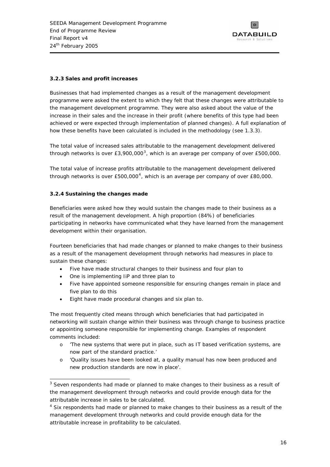

#### <span id="page-20-0"></span>**3.2.3 Sales and profit increases**

Businesses that had implemented changes as a result of the management development programme were asked the extent to which they felt that these changes were attributable to the management development programme. They were also asked about the value of the increase in their sales and the increase in their profit (where benefits of this type had been achieved or were expected through implementation of planned changes). A full explanation of how these benefits have been calculated is included in the methodology (see 1.3.3).

The total value of increased sales attributable to the management development delivered through networks is over  $E3,900,000^3$  $E3,900,000^3$  $E3,900,000^3$ , which is an average per company of over £500,000.

The total value of increase profits attributable to the management development delivered through networks is over £500,000[4](#page-20-0), which is an average per company of over £80,000.

#### **3.2.4 Sustaining the changes made**

Beneficiaries were asked how they would sustain the changes made to their business as a result of the management development. A high proportion (84%) of beneficiaries participating in networks have communicated what they have learned from the management development within their organisation.

Fourteen beneficiaries that had made changes or planned to make changes to their business as a result of the management development through networks had measures in place to sustain these changes:

- Five have made structural changes to their business and four plan to
- One is implementing IiP and three plan to
- Five have appointed someone responsible for ensuring changes remain in place and five plan to do this
- Eight have made procedural changes and six plan to.

The most frequently cited means through which beneficiaries that had participated in networking will sustain change within their business was through change to business practice or appointing someone responsible for implementing change. Examples of respondent comments included:

- o *'The new systems that were put in place, such as IT based verification systems, are now part of the standard practice.'*
- o *'Quality issues have been looked at, a quality manual has now been produced and new production standards are now in place'.*

j  $3$  Seven respondents had made or planned to make changes to their business as a result of the management development through networks and could provide enough data for the attributable increase in sales to be calculated.

<sup>&</sup>lt;sup>4</sup> Six respondents had made or planned to make changes to their business as a result of the management development through networks and could provide enough data for the attributable increase in profitability to be calculated.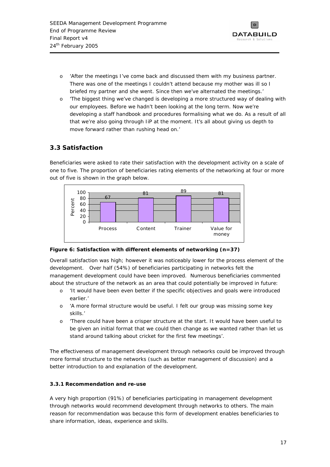

- <span id="page-21-0"></span>o *'After the meetings I've come back and discussed them with my business partner. There was one of the meetings I couldn't attend because my mother was ill so I briefed my partner and she went. Since then we've alternated the meetings.'*
- o *'The biggest thing we've changed is developing a more structured way of dealing with our employees. Before we hadn't been looking at the long term. Now we're developing a staff handbook and procedures formalising what we do. As a result of all that we're also going through IiP at the moment. It's all about giving us depth to move forward rather than rushing head on.'*

# **3.3 Satisfaction**

Beneficiaries were asked to rate their satisfaction with the development activity on a scale of one to five. The proportion of beneficiaries rating elements of the networking at four or more out of five is shown in the graph below.



### **Figure 6: Satisfaction with different elements of networking (n=37)**

Overall satisfaction was high; however it was noticeably lower for the process element of the development. Over half (54%) of beneficiaries participating in networks felt the management development could have been improved. Numerous beneficiaries commented about the structure of the network as an area that could potentially be improved in future:

- o *'It would have been even better if the specific objectives and goals were introduced earlier.'*
- o *'A more formal structure would be useful. I felt our group was missing some key skills.'*
- o *'There could* have *been a crisper structure at the start. It would have been useful to be given an initial format that we could then change as we wanted rather than let us stand around talking about cricket for the first few meetings'.*

The effectiveness of management development through networks could be improved through more formal structure to the networks (such as better management of discussion) and a better introduction to and explanation of the development.

### **3.3.1 Recommendation and re-use**

A very high proportion (91%) of beneficiaries participating in management development through networks would recommend development through networks to others. The main reason for recommendation was because this form of development enables beneficiaries to share information, ideas, experience and skills.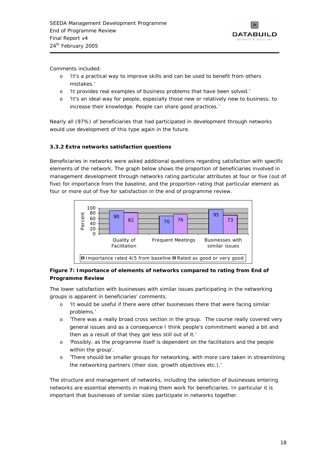

<span id="page-22-0"></span>Comments included:

- o *'It's a practical way to improve skills and can be used to benefit from others mistakes.'*
- o *'It provides real examples of business problems that have been solved.'*
- o *'It's an ideal way for people, especially those new or relatively new to business, to increase their knowledge. People can share good practices.'*

Nearly all (97%) of beneficiaries that had participated in development through networks would use development of this type again in the future.

### **3.3.2 Extra networks satisfaction questions**

Beneficiaries in networks were asked additional questions regarding satisfaction with specific elements of the network. The graph below shows the proportion of beneficiaries involved in management development through networks rating particular attributes at four or five (out of five) for importance from the baseline, and the proportion rating that particular element as four or more out of five for satisfaction in the end of programme review.



### **Figure 7: Importance of elements of networks compared to rating from End of Programme Review**

The lower satisfaction with businesses with similar issues participating in the networking groups is apparent in beneficiaries' comments:

- o *'It would be useful if there were other businesses there that were facing similar problems.'*
- o *'There was a really broad cross section in the group. The course really covered very general issues and as a consequence I think people's commitment waned a bit and then as a result of that they got less still out of it.'*
- o *'Possibly, as the programme itself is dependent on the facilitators and the people within the group'.*
- o *'There should be smaller groups for networking, with more care taken in streamlining the networking partners (their size, growth objectives etc.).'*

The structure and management of networks, including the selection of businesses entering networks are essential elements in making them work for beneficiaries. In particular it is important that businesses of similar sizes participate in networks together.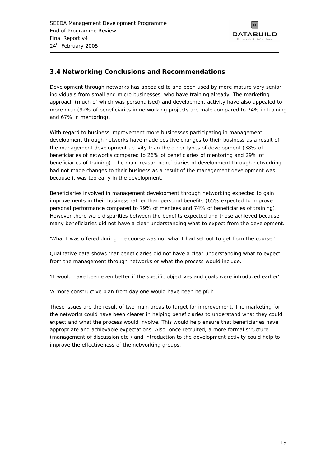

# <span id="page-23-0"></span>**3.4 Networking Conclusions and Recommendations**

Development through networks has appealed to and been used by more mature very senior individuals from small and micro businesses, who have training already. The marketing approach (much of which was personalised) and development activity have also appealed to more men (92% of beneficiaries in networking projects are male compared to 74% in training and 67% in mentoring).

With regard to business improvement more businesses participating in management development through networks have made positive changes to their business as a result of the management development activity than the other types of development (38% of beneficiaries of networks compared to 26% of beneficiaries of mentoring and 29% of beneficiaries of training). The main reason beneficiaries of development through networking had not made changes to their business as a result of the management development was because it was too early in the development.

Beneficiaries involved in management development through networking expected to gain improvements in their business rather than personal benefits (65% expected to improve personal performance compared to 79% of mentees and 74% of beneficiaries of training). However there were disparities between the benefits expected and those achieved because many beneficiaries did not have a clear understanding what to expect from the development.

*'What I was offered during the course was not what I had set out to get from the course.'* 

Qualitative data shows that beneficiaries did not have a clear understanding what to expect from the management through networks or what the process would include.

*'It would have been even better if the specific objectives and goals were introduced earlier'.* 

*'A more constructive plan from day one would have been helpful'*.

These issues are the result of two main areas to target for improvement. The marketing for the networks could have been clearer in helping beneficiaries to understand what they could expect and what the process would involve. This would help ensure that beneficiaries have appropriate and achievable expectations. Also, once recruited, a more formal structure (management of discussion etc.) and introduction to the development activity could help to improve the effectiveness of the networking groups.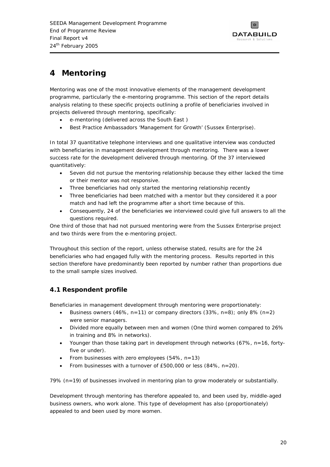

# <span id="page-24-0"></span>**4 Mentoring**

Mentoring was one of the most innovative elements of the management development programme, particularly the e-mentoring programme. This section of the report details analysis relating to these specific projects outlining a profile of beneficiaries involved in projects delivered through mentoring, specifically:

- e-mentoring (delivered across the South East )
- Best Practice Ambassadors '*Management for Growth'* (Sussex Enterprise).

In total 37 quantitative telephone interviews and one qualitative interview was conducted with beneficiaries in management development through mentoring. There was a lower success rate for the development delivered through mentoring. Of the 37 interviewed quantitatively:

- Seven did not pursue the mentoring relationship because they either lacked the time or their mentor was not responsive.
- Three beneficiaries had only started the mentoring relationship recently
- Three beneficiaries had been matched with a mentor but they considered it a poor match and had left the programme after a short time because of this.
- Consequently, 24 of the beneficiaries we interviewed could give full answers to all the questions required.

One third of those that had not pursued mentoring were from the Sussex Enterprise project and two thirds were from the e-mentoring project.

Throughout this section of the report, unless otherwise stated, results are for the 24 beneficiaries who had engaged fully with the mentoring process. Results reported in this section therefore have predominantly been reported by number rather than proportions due to the small sample sizes involved.

# **4.1 Respondent profile**

Beneficiaries in management development through mentoring were proportionately:

- Business owners (46%, n=11) or company directors  $(33\%, n=8)$ ; only 8%  $(n=2)$ were senior managers.
- Divided more equally between men and women (One third women compared to 26% in training and 8% in networks).
- Younger than those taking part in development through networks (67%, n=16, fortyfive or under).
- From businesses with zero employees  $(54\% , n=13)$
- From businesses with a turnover of £500,000 or less (84%, n=20).

79% (n=19) of businesses involved in mentoring plan to grow moderately or substantially.

Development through mentoring has therefore appealed to, and been used by, middle-aged business owners, who work alone. This type of development has also (proportionately) appealed to and been used by more women.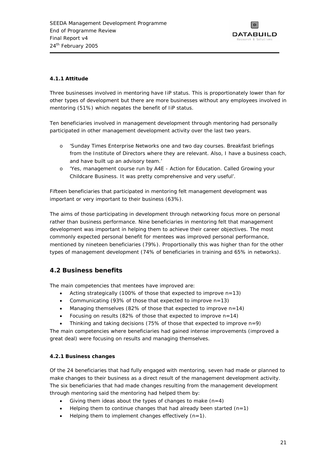

### <span id="page-25-0"></span>**4.1.1 Attitude**

Three businesses involved in mentoring have IiP status. This is proportionately lower than for other types of development but there are more businesses without any employees involved in mentoring (51%) which negates the benefit of IiP status.

Ten beneficiaries involved in management development through mentoring had personally participated in other management development activity over the last two years.

- o *'Sunday Times Enterprise Networks one and two day courses. Breakfast briefings from the Institute of Directors where they are relevant. Also, I have a business coach, and have built up an advisory team.'*
- o *'Yes, management course run by A4E Action for Education. Called Growing your Childcare Business. It was pretty comprehensive and very useful'*.

Fifteen beneficiaries that participated in mentoring felt management development was important or very important to their business (63%).

The aims of those participating in development through networking focus more on personal rather than business performance. Nine beneficiaries in mentoring felt that management development was important in helping them to achieve their career objectives. The most commonly expected personal benefit for mentees was improved personal performance, mentioned by nineteen beneficiaries (79%). Proportionally this was higher than for the other types of management development (74% of beneficiaries in training and 65% in networks).

# **4.2 Business benefits**

The main competencies that mentees have improved are:

- Acting strategically (100% of those that expected to improve n=13)
- Communicating (93% of those that expected to improve n=13)
- Managing themselves (82% of those that expected to improve  $n=14$ )
- Focusing on results (82% of those that expected to improve  $n=14$ )
- Thinking and taking decisions (75% of those that expected to improve  $n=9$ )

The main competencies where beneficiaries had gained intense improvements (improved a great deal) were focusing on results and managing themselves.

### **4.2.1 Business changes**

Of the 24 beneficiaries that had fully engaged with mentoring, seven had made or planned to make changes to their business as a direct result of the management development activity. The six beneficiaries that had made changes resulting from the management development through mentoring said the mentoring had helped them by:

- Giving them ideas about the types of changes to make  $(n=4)$
- Helping them to continue changes that had already been started  $(n=1)$
- Helping them to implement changes effectively  $(n=1)$ .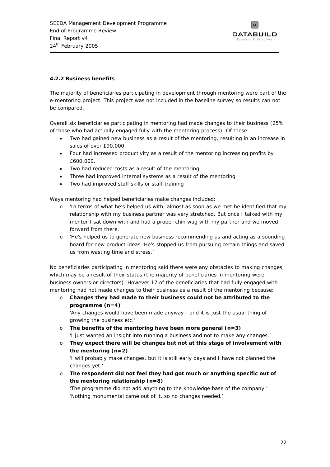

### <span id="page-26-0"></span>**4.2.2 Business benefits**

The majority of beneficiaries participating in development through mentoring were part of the e-mentoring project. This project was not included in the baseline survey so results can not be compared.

Overall six beneficiaries participating in mentoring had made changes to their business (25% of those who had actually engaged fully with the mentoring process). Of these:

- Two had gained new business as a result of the mentoring, resulting in an increase in sales of over £90,000.
- Four had increased productivity as a result of the mentoring increasing profits by £600,000.
- Two had reduced costs as a result of the mentoring
- Three had improved internal systems as a result of the mentoring
- Two had improved staff skills or staff training

Ways mentoring had helped beneficiaries make changes included:

- o *'In terms of what he's helped us with, almost as soon as we met he identified that my relationship with my business partner was very stretched. But once I talked with my mentor I sat down with and had a proper chin wag with my partner and we moved forward from there.'*
- o *'He's helped us to generate new business recommending us and acting as a sounding board for new product ideas. He's stopped us from pursuing certain things and saved us from wasting time and stress.'*

No beneficiaries participating in mentoring said there were any obstacles to making changes, which may be a result of their status (the majority of beneficiaries in mentoring were business owners or directors). However 17 of the beneficiaries that had fully engaged with mentoring had not made changes to their business as a result of the mentoring because:

o **Changes they had made to their business could not be attributed to the programme (n=4)** 

'Any changes would have been made anyway - and it is just the usual thing of *growing the business etc.'* 

- o **The benefits of the mentoring have been more general (n=3)**  *'I just wanted an insight into running a business and not to make any changes.'*
- o **They expect there will be changes but not at this stage of involvement with the mentoring (n=2)**

*'I will probably make changes, but it is still early days and I have not planned the changes yet.'* 

o **The respondent did not feel they had got much or anything specific out of the mentoring relationship (n=8)** 

*'The programme did not add anything to the knowledge base of the company.' 'Nothing monumental came out of it, so no changes needed.'*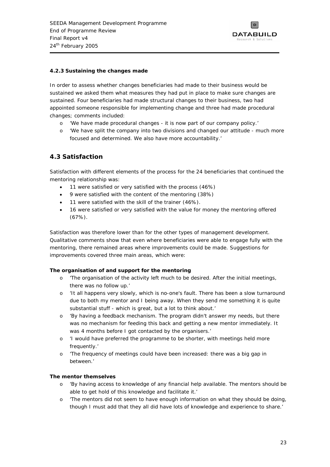

#### <span id="page-27-0"></span>**4.2.3 Sustaining the changes made**

In order to assess whether changes beneficiaries had made to their business would be sustained we asked them what measures they had put in place to make sure changes are sustained. Four beneficiaries had made structural changes to their business, two had appointed someone responsible for implementing change and three had made procedural changes; comments included:

- o *'We have made procedural changes - it is now part of our company policy.'*
- o *'We have split the company into two divisions and changed our attitude much more focused and determined. We also have more accountability.'*

### **4.3 Satisfaction**

Satisfaction with different elements of the process for the 24 beneficiaries that continued the mentoring relationship was:

- 11 were satisfied or very satisfied with the process (46%)
- 9 were satisfied with the content of the mentoring (38%)
- 11 were satisfied with the skill of the trainer (46%).
- 16 were satisfied or very satisfied with the value for money the mentoring offered (67%).

Satisfaction was therefore lower than for the other types of management development. Qualitative comments show that even where beneficiaries were able to engage fully with the mentoring, there remained areas where improvements could be made. Suggestions for improvements covered three main areas, which were:

#### **The organisation of and support for the mentoring**

- o *'The organisation of the activity left much to be desired. After the initial meetings, there was no follow up.'*
- o *'It all happens very slowly, which is no-one's fault. There has been a slow turnaround due to both my mentor and I being away. When they send me something it is quite substantial stuff - which is great, but a lot to think about.'*
- o *'By having a feedback mechanism. The program didn't answer my needs, but there was no mechanism for feeding this back and getting a new mentor immediately. It was 4 months before I got contacted by the organisers.'*
- o *'I would have preferred the programme to be shorter, with meetings held more frequently.'*
- o *'The frequency of meetings could have been increased: there was a big gap in between.'*

#### **The mentor themselves**

- o *'By having access to knowledge of any financial help available. The mentors should be able to get hold of this knowledge and facilitate it.'*
- o *'The mentors did not seem to have enough information on what they should be doing, though I must add that they all did have lots of knowledge and experience to share.'*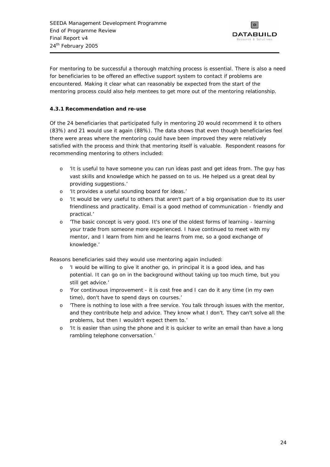

<span id="page-28-0"></span>For mentoring to be successful a thorough matching process is essential. There is also a need for beneficiaries to be offered an effective support system to contact if problems are encountered. Making it clear what can reasonably be expected from the start of the mentoring process could also help mentees to get more out of the mentoring relationship.

### **4.3.1 Recommendation and re-use**

Of the 24 beneficiaries that participated fully in mentoring 20 would recommend it to others (83%) and 21 would use it again (88%). The data shows that even though beneficiaries feel there were areas where the mentoring could have been improved they were relatively satisfied with the process and think that mentoring itself is valuable. Respondent reasons for recommending mentoring to others included:

- o *'It is useful to have someone you can run ideas past and get ideas from. The guy has vast skills and knowledge which he passed on to us. He helped us a great deal by providing suggestions.'*
- o *'It provides a useful sounding board for ideas.'*
- o *'It would be very useful to others that aren't part of a big organisation due to its user friendliness and practicality. Email is a good method of communication - friendly and practical.'*
- o *'The basic concept is very good. It's one of the oldest forms of learning learning your trade from someone more experienced. I have continued to meet with my mentor, and I learn from him and he learns from me, so a good exchange of knowledge.'*

Reasons beneficiaries said they would use mentoring again included:

- o *'I would be willing to give it another go, in principal it is a good idea, and has potential. It can go on in the background without taking up too much time, but you still get advice.'*
- o *'For continuous improvement it is cost free and I can do it any time (in my own time), don't have to spend days on courses.'*
- o *'There is nothing to lose with a free service. You talk through issues with the mentor, and they contribute help and advice. They know what I don't. They can't solve all the problems, but then I wouldn't expect them to.'*
- o *'It is easier than using the phone and it is quicker to write an email than have a long rambling telephone conversation.'*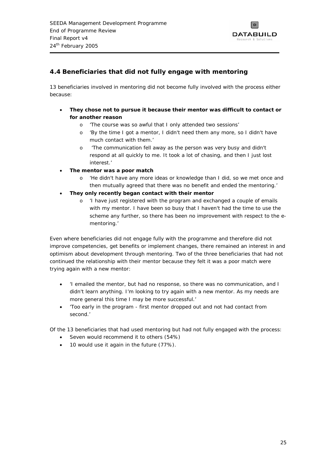

# <span id="page-29-0"></span>**4.4 Beneficiaries that did not fully engage with mentoring**

13 beneficiaries involved in mentoring did not become fully involved with the process either because:

- **They chose not to pursue it because their mentor was difficult to contact or for another reason** 
	- o *'The course was so awful that I only attended two sessions'*
	- o *'By the time I got a mentor, I didn't need them any more, so I didn't have much contact with them.'*
	- o *'The communication fell away as the person was very busy and didn't respond at all quickly to me. It took a lot of chasing, and then I just lost interest.'*
- **The mentor was a poor match** 
	- o *'He didn't have any more ideas or knowledge than I did, so we met once and then mutually agreed that there was no benefit and ended the mentoring.'*
- **They only recently began contact with their mentor** 
	- o *'I have just registered with the program and exchanged a couple of emails with my mentor. I have been so busy that I haven't had the time to use the scheme any further, so there has been no improvement with respect to the ementoring.'*

Even where beneficiaries did not engage fully with the programme and therefore did not improve competencies, get benefits or implement changes, there remained an interest in and optimism about development through mentoring. Two of the three beneficiaries that had not continued the relationship with their mentor because they felt it was a poor match were trying again with a new mentor:

- *'I emailed the mentor, but had no response, so there was no communication, and I didn't learn anything. I'm looking to try again with a new mentor. As my needs are more general this time I may be more successful.'*
- *'Too early in the program first mentor dropped out and not had contact from second.'*

Of the 13 beneficiaries that had used mentoring but had not fully engaged with the process:

- Seven would recommend it to others (54%)
- 10 would use it again in the future (77%).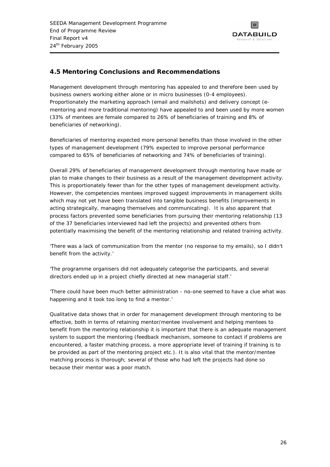

# <span id="page-30-0"></span>**4.5 Mentoring Conclusions and Recommendations**

Management development through mentoring has appealed to and therefore been used by business owners working either alone or in micro businesses (0-4 employees). Proportionately the marketing approach (email and mailshots) and delivery concept (ementoring and more traditional mentoring) have appealed to and been used by more women (33% of mentees are female compared to 26% of beneficiaries of training and 8% of beneficiaries of networking).

Beneficiaries of mentoring expected more personal benefits than those involved in the other types of management development (79% expected to improve personal performance compared to 65% of beneficiaries of networking and 74% of beneficiaries of training).

Overall 29% of beneficiaries of management development through mentoring have made or plan to make changes to their business as a result of the management development activity. This is proportionately fewer than for the other types of management development activity. However, the competencies mentees improved suggest improvements in management skills which may not yet have been translated into tangible business benefits (improvements in acting strategically, managing themselves and communicating). It is also apparent that process factors prevented some beneficiaries from pursuing their mentoring relationship (13 of the 37 beneficiaries interviewed had left the projects) and prevented others from potentially maximising the benefit of the mentoring relationship and related training activity.

*'There was a lack of communication from the mentor (no response to my emails), so I didn't benefit from the activity.'* 

*'The programme organisers did not adequately categorise the participants, and several directors ended up in a project chiefly directed at new managerial staff.'* 

*'There could have been much better administration - no-one seemed to have a clue what was happening and it took too long to find a mentor.'* 

Qualitative data shows that in order for management development through mentoring to be effective, both in terms of retaining mentor/mentee involvement and helping mentees to benefit from the mentoring relationship it is important that there is an adequate management system to support the mentoring (feedback mechanism, someone to contact if problems are encountered, a faster matching process, a more appropriate level of training if training is to be provided as part of the mentoring project etc.). It is also vital that the mentor/mentee matching process is thorough; several of those who had left the projects had done so because their mentor was a poor match.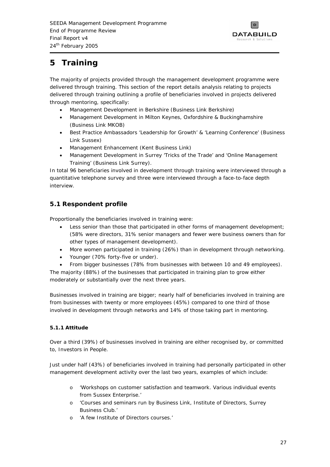

# <span id="page-31-0"></span>**5 Training**

The majority of projects provided through the management development programme were delivered through training. This section of the report details analysis relating to projects delivered through training outlining a profile of beneficiaries involved in projects delivered through mentoring, specifically:

- Management Development in Berkshire (Business Link Berkshire)
- Management Development in Milton Keynes, Oxfordshire & Buckinghamshire (Business Link MKOB)
- Best Practice Ambassadors '*Leadership for Growth'* & '*Learning Conference*' (Business Link Sussex)
- Management Enhancement (Kent Business Link)
- Management Development in Surrey '*Tricks of the Trade'* and '*Online Management Training'* (Business Link Surrey).

In total 96 beneficiaries involved in development through training were interviewed through a quantitative telephone survey and three were interviewed through a face-to-face depth interview.

# **5.1 Respondent profile**

Proportionally the beneficiaries involved in training were:

- Less senior than those that participated in other forms of management development; (58% were directors, 31% senior managers and fewer were business owners than for other types of management development).
- More women participated in training (26%) than in development through networking.
- Younger (70% forty-five or under).
- From bigger businesses (78% from businesses with between 10 and 49 employees).

The majority (88%) of the businesses that participated in training plan to grow either moderately or substantially over the next three years.

Businesses involved in training are bigger; nearly half of beneficiaries involved in training are from businesses with twenty or more employees (45%) compared to one third of those involved in development through networks and 14% of those taking part in mentoring.

### **5.1.1 Attitude**

Over a third (39%) of businesses involved in training are either recognised by, or committed to, Investors in People.

Just under half (43%) of beneficiaries involved in training had personally participated in other management development activity over the last two years, examples of which include:

- o *'Workshops on customer satisfaction and teamwork. Various individual events from Sussex Enterprise.'*
- *'Courses and seminars run by Business Link, Institute of Directors, Surrey Business Club.'*
- o *'A few Institute of Directors courses.'*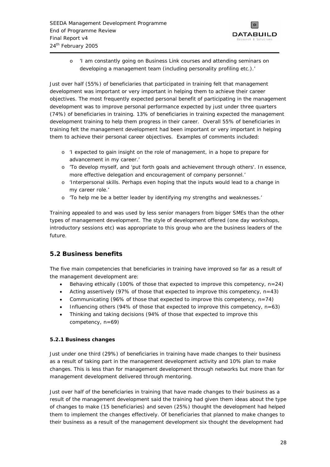

<span id="page-32-0"></span>o *'I am constantly going on Business Link courses and attending seminars on developing a management team (including personality profiling etc.).'*

Just over half (55%) of beneficiaries that participated in training felt that management development was important or very important in helping them to achieve their career objectives. The most frequently expected personal benefit of participating in the management development was to improve personal performance expected by just under three quarters (74%) of beneficiaries in training. 13% of beneficiaries in training expected the management development training to help them progress in their career. Overall 55% of beneficiaries in training felt the management development had been important or very important in helping them to achieve their personal career objectives. Examples of comments included:

- o *'I expected to gain insight on the role of management, in a hope to prepare for advancement in my career.'*
- o *'To develop myself, and 'put forth goals and achievement through others'. In essence, more effective delegation and encouragement of company personnel.'*
- o *'Interpersonal skills. Perhaps even hoping that the inputs would lead to a change in my career role.'*
- o *'To help me be a better leader by identifying my strengths and weaknesses.'*

Training appealed to and was used by less senior managers from bigger SMEs than the other types of management development. The style of development offered (one day workshops, introductory sessions etc) was appropriate to this group who are the business leaders of the future.

# **5.2 Business benefits**

The five main competencies that beneficiaries in training have improved so far as a result of the management development are:

- Behaving ethically (100% of those that expected to improve this competency,  $n=24$ )
- Acting assertively (97% of those that expected to improve this competency,  $n=43$ )
- Communicating (96% of those that expected to improve this competency, n=74)
- Influencing others (94% of those that expected to improve this competency,  $n=63$ )
- Thinking and taking decisions (94% of those that expected to improve this competency, n=69)

### **5.2.1 Business changes**

Just under one third (29%) of beneficiaries in training have made changes to their business as a result of taking part in the management development activity and 10% plan to make changes. This is less than for management development through networks but more than for management development delivered through mentoring.

Just over half of the beneficiaries in training that have made changes to their business as a result of the management development said the training had given them ideas about the type of changes to make (15 beneficiaries) and seven (25%) thought the development had helped them to implement the changes effectively. Of beneficiaries that planned to make changes to their business as a result of the management development six thought the development had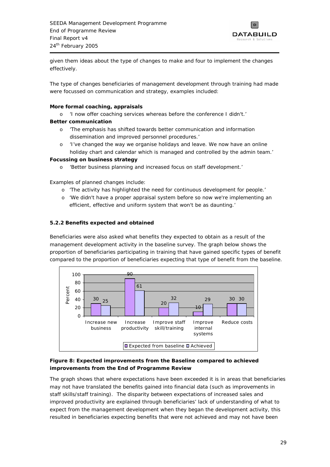

<span id="page-33-0"></span>given them ideas about the type of changes to make and four to implement the changes effectively.

The type of changes beneficiaries of management development through training had made were focussed on communication and strategy, examples included:

#### **More formal coaching, appraisals**

o *'I now offer coaching services whereas before the conference I didn't.'* 

#### *B***etter communication**

- o *'The emphasis has shifted towards better communication and information dissemination and improved personnel procedures*.'
- o *'I've changed the way we organise holidays and leave. We now have an online holiday chart and calendar which is managed and controlled by the admin team.'*

#### **Focussing on business strategy**

o *'Better business planning and increased focus on staff development.'* 

#### Examples of planned changes include:

- o *'The activity has highlighted the need for continuous development for people.'*
- o *'We didn't have a proper appraisal system before so now we're implementing an efficient, effective and uniform system that won't be as daunting.'*

#### **5.2.2 Benefits expected and obtained**

Beneficiaries were also asked what benefits they expected to obtain as a result of the management development activity in the baseline survey. The graph below shows the proportion of beneficiaries participating in training that have gained specific types of benefit compared to the proportion of beneficiaries expecting that type of benefit from the baseline.



### **Figure 8: Expected improvements from the Baseline compared to achieved improvements from the End of Programme Review**

The graph shows that where expectations have been exceeded it is in areas that beneficiaries may not have translated the benefits gained into financial data (such as improvements in staff skills/staff training). The disparity between expectations of increased sales and improved productivity are explained through beneficiaries' lack of understanding of what to expect from the management development when they began the development activity, this resulted in beneficiaries expecting benefits that were not achieved and may not have been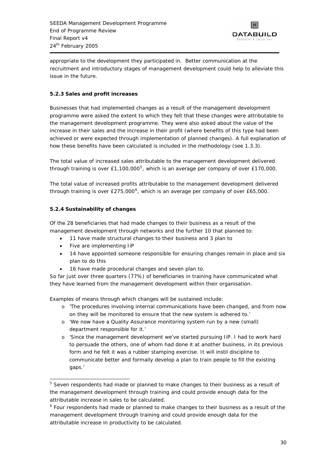

<span id="page-34-0"></span>appropriate to the development they participated in. Better communication at the recruitment and introductory stages of management development could help to alleviate this issue in the future.

### **5.2.3 Sales and profit increases**

Businesses that had implemented changes as a result of the management development programme were asked the extent to which they felt that these changes were attributable to the management development programme. They were also asked about the value of the increase in their sales and the increase in their profit (where benefits of this type had been achieved or were expected through implementation of planned changes). A full explanation of how these benefits have been calculated is included in the methodology (see 1.3.3).

The total value of increased sales attributable to the management development delivered through training is over  $£1,100,000^5$  $£1,100,000^5$ , which is an average per company of over £170,000.

The total value of increased profits attributable to the management development delivered through training is over  $£275,000^6$  $£275,000^6$ , which is an average per company of over £65,000.

### **5.2.4 Sustainability of changes**

Of the 28 beneficiaries that had made changes to their business as a result of the management development through networks and the further 10 that planned to:

- 11 have made structural changes to their business and 3 plan to
- Five are implementing IiP
- 14 have appointed someone responsible for ensuring changes remain in place and six plan to do this
- 16 have made procedural changes and seven plan to.

So far just over three quarters (77%) of beneficiaries in training have communicated what they have learned from the management development within their organisation.

Examples of means through which changes will be sustained include:

- o *'The procedures involving internal communications have been changed, and from now on they will be monitored to ensure that the new system is adhered to.'*
- o *'We now have a Quality Assurance monitoring system run by a new (small) department responsible for it.'*
- o '*Since the management development we've started pursuing IiP. I had to work hard to persuade the others, one of whom had done it at another business, in its previous form and he felt it was a rubber stamping exercise. It will instil discipline to communicate better and formally develop a plan to train people to fill the existing gaps.'*

j <sup>5</sup> Seven respondents had made or planned to make changes to their business as a result of the management development through training and could provide enough data for the attributable increase in sales to be calculated.

<sup>&</sup>lt;sup>6</sup> Four respondents had made or planned to make changes to their business as a result of the management development through training and could provide enough data for the attributable increase in productivity to be calculated.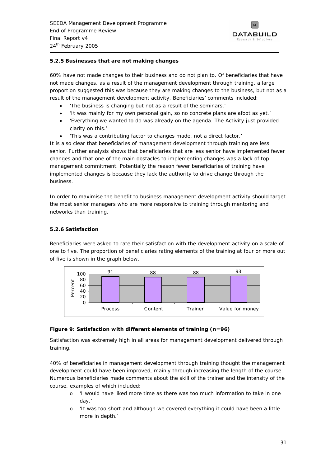

### <span id="page-35-0"></span>**5.2.5 Businesses that are not making changes**

60% have not made changes to their business and do not plan to. Of beneficiaries that have not made changes, as a result of the management development through training, a large proportion suggested this was because they are making changes to the business, but not as a result of the management development activity. Beneficiaries' comments included:

- *'The business is changing but not as a result of the seminars.'*
- *'It was mainly for my own personal gain, so no concrete plans are afoot as yet.'*
- *'Everything we wanted to do was already on the agenda. The Activity just provided clarity on this.'*
- *'This was a contributing factor to changes made, not a direct factor.'*

It is also clear that beneficiaries of management development through training are less senior. Further analysis shows that beneficiaries that are less senior have implemented fewer changes and that one of the main obstacles to implementing changes was a lack of top management commitment. Potentially the reason fewer beneficiaries of training have implemented changes is because they lack the authority to drive change through the business.

In order to maximise the benefit to business management development activity should target the most senior managers who are more responsive to training through mentoring and networks than training.

#### **5.2.6 Satisfaction**

Beneficiaries were asked to rate their satisfaction with the development activity on a scale of one to five. The proportion of beneficiaries rating elements of the training at four or more out of five is shown in the graph below.



#### **Figure 9: Satisfaction with different elements of training (n=96)**

Satisfaction was extremely high in all areas for management development delivered through training.

40% of beneficiaries in management development through training thought the management development could have been improved, mainly through increasing the length of the course. Numerous beneficiaries made comments about the skill of the trainer and the intensity of the course, examples of which included:

- o *'I would have liked more time as there was too much information to take in one day.'*
- 'It was too short and although we covered everything it could have been a little *more in depth.'*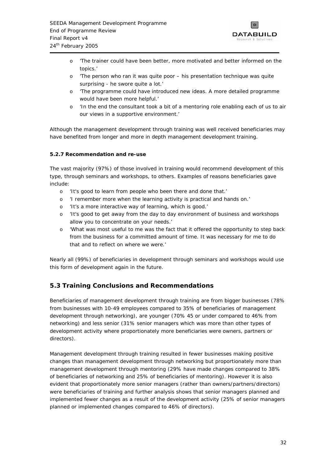

- <span id="page-36-0"></span>o *'The trainer could have been better, more motivated and better informed on the topics.'*
- o *'The person who ran it was quite poor his presentation technique was quite surprising - he swore quite a lot.'*
- o *'The programme could have introduced new ideas. A more detailed programme would have been more helpful.'*
- o *'In the end the consultant took a bit of a mentoring role enabling each of us to air our views in a supportive environment.'*

Although the management development through training was well received beneficiaries may have benefited from longer and more in depth management development training.

### **5.2.7 Recommendation and re-use**

The vast majority (97%) of those involved in training would recommend development of this type, through seminars and workshops, to others. Examples of reasons beneficiaries gave include:

- o *'It's good to learn from people who been there and done that.'*
- o *'I remember more when the learning activity is practical and hands on.'*
- o *'It's a more interactive way of learning, which is good.'*
- o *'It's good to get away from the day to day environment of business and workshops allow you to concentrate on your needs.'*
- o *'What was most useful to me was the fact that it offered the opportunity to step back from the business for a committed amount of time. It was necessary for me to do that and to reflect on where we were.'*

Nearly all (99%) of beneficiaries in development through seminars and workshops would use this form of development again in the future.

# **5.3 Training Conclusions and Recommendations**

Beneficiaries of management development through training are from bigger businesses (78% from businesses with 10-49 employees compared to 35% of beneficiaries of management development through networking), are younger (70% 45 or under compared to 46% from networking) and less senior (31% senior managers which was more than other types of development activity where proportionately more beneficiaries were owners, partners or directors).

Management development through training resulted in fewer businesses making positive changes than management development through networking but proportionately more than management development through mentoring (29% have made changes compared to 38% of beneficiaries of networking and 25% of beneficiaries of mentoring). However it is also evident that proportionately more senior managers (rather than owners/partners/directors) were beneficiaries of training and further analysis shows that senior managers planned and implemented fewer changes as a result of the development activity (25% of senior managers planned or implemented changes compared to 46% of directors).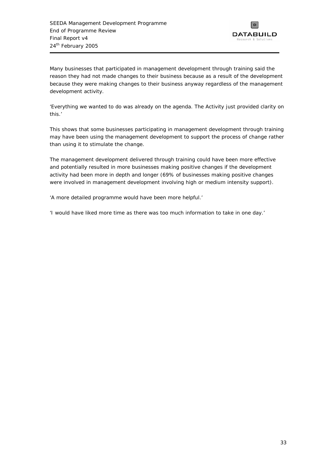

Many businesses that participated in management development through training said the reason they had not made changes to their business because as a result of the development because they were making changes to their business anyway regardless of the management development activity.

*'Everything we wanted to do was already on the agenda. The Activity just provided clarity on this.'* 

This shows that some businesses participating in management development through training may have been using the management development to support the process of change rather than using it to stimulate the change.

The management development delivered through training could have been more effective and potentially resulted in more businesses making positive changes if the development activity had been more in depth and longer (69% of businesses making positive changes were involved in management development involving high or medium intensity support).

*'A more detailed programme would have been more helpful.'* 

*'I would have liked more time as there was too much information to take in one day.'*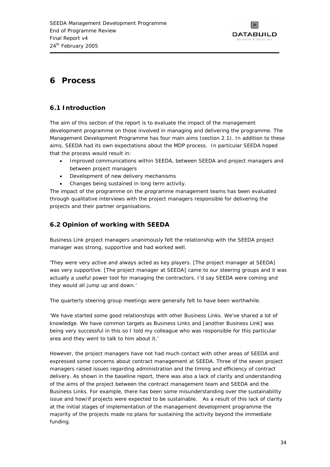

# <span id="page-38-0"></span>**6 Process**

# **6.1 Introduction**

The aim of this section of the report is to evaluate the impact of the management development programme on those involved in managing and delivering the programme. The Management Development Programme has four main aims (section 2.1). In addition to these aims, SEEDA had its own expectations about the MDP process. In particular SEEDA hoped that the process would result in:

- Improved communications within SEEDA, between SEEDA and project managers and between project managers
- Development of new delivery mechanisms
- Changes being sustained in long term activity.

The impact of the programme on the programme management teams has been evaluated through qualitative interviews with the project managers responsible for delivering the projects and their partner organisations.

# **6.2 Opinion of working with SEEDA**

Business Link project managers unanimously felt the relationship with the SEEDA project manager was strong, supportive and had worked well.

*'They were very active and always acted as key players. [The project manager at SEEDA] was very supportive. [The project manager at SEEDA] came to our steering groups and it was actually a useful power tool for managing the contractors. I'd say SEEDA were coming and they would all jump up and down.'* 

The quarterly steering group meetings were generally felt to have been worthwhile.

'We have started some good relationships with other Business Links. We've shared a lot of *knowledge. We have common targets as Business Links and [another Business Link] was being very successful in this so I told my colleague who was responsible for this particular area and they went to talk to him about it.'* 

However, the project managers have not had much contact with other areas of SEEDA and expressed some concerns about contract management at SEEDA. Three of the seven project managers raised issues regarding administration and the timing and efficiency of contract delivery. As shown in the baseline report, there was also a lack of clarity and understanding of the aims of the project between the contract management team and SEEDA and the Business Links. For example, there has been some misunderstanding over the sustainability issue and how/if projects were expected to be sustainable. As a result of this lack of clarity at the initial stages of implementation of the management development programme the majority of the projects made no plans for sustaining the activity beyond the immediate funding.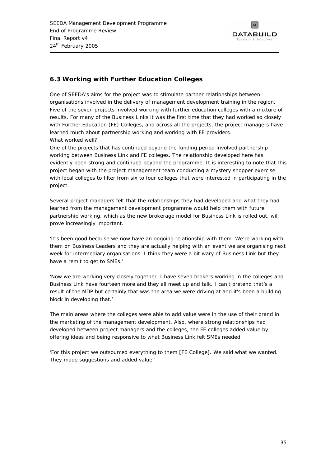

# <span id="page-39-0"></span>**6.3 Working with Further Education Colleges**

One of SEEDA's aims for the project was to stimulate partner relationships between organisations involved in the delivery of management development training in the region. Five of the seven projects involved working with further education colleges with a mixture of results. For many of the Business Links it was the first time that they had worked so closely with Further Education (FE) Colleges, and across all the projects, the project managers have learned much about partnership working and working with FE providers. What worked well?

One of the projects that has continued beyond the funding period involved partnership working between Business Link and FE colleges. The relationship developed here has evidently been strong and continued beyond the programme. It is interesting to note that this project began with the project management team conducting a mystery shopper exercise with local colleges to filter from six to four colleges that were interested in participating in the project.

Several project managers felt that the relationships they had developed and what they had learned from the management development programme would help them with future partnership working, which as the new brokerage model for Business Link is rolled out, will prove increasingly important.

*'It's been good because we now have an ongoing relationship with them. We're working with them on Business Leaders and they are actually helping with an event we are organising next week for intermediary organisations. I think they were a bit wary of Business Link but they have a remit to get to SMEs.'* 

*'Now we are working very closely together. I have seven brokers working in the colleges and Business Link have fourteen more and they all meet up and talk. I can't pretend that's a result of the MDP but certainly that was the area we were driving at and it's been a building block in developing that.'* 

The main areas where the colleges were able to add value were in the use of their brand in the marketing of the management development. Also, where strong relationships had developed between project managers and the colleges, the FE colleges added value by offering ideas and being responsive to what Business Link felt SMEs needed.

*'For this project we outsourced everything to them [FE College]. We said what we wanted. They made suggestions and added value.'*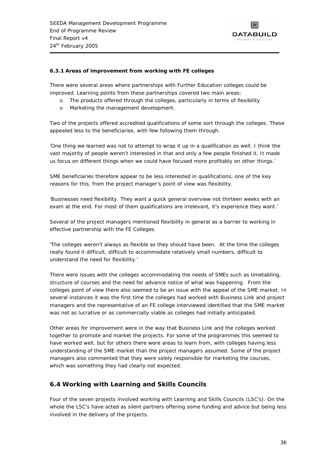

#### <span id="page-40-0"></span>**6.3.1 Areas of improvement from working with FE colleges**

There were several areas where partnerships with Further Education colleges could be improved. Learning points from these partnerships covered two main areas:

- o The products offered through the colleges, particularly in terms of flexibility
- o Marketing the management development.

Two of the projects offered accredited qualifications of some sort through the colleges. These appealed less to the beneficiaries, with few following them through.

'One thing we learned was not to attempt to wrap it up in a qualification as well. I think the *vast majority of people weren't interested in that and only a few people finished it. It made us focus on different things when we could have focused more profitably on other things.'* 

SME beneficiaries therefore appear to be less interested in qualifications, one of the key reasons for this, from the project manager's point of view was flexibility.

*'Businesses need flexibility. They want a quick general overview not thirteen weeks with an exam at the end. For most of them qualifications are irrelevant, it's experience they want.'* 

Several of the project managers mentioned flexibility in general as a barrier to working in effective partnership with the FE Colleges.

*'The colleges weren't always as flexible as they should have been. At the time the colleges really found it difficult, difficult to accommodate relatively small numbers, difficult to understand the need for flexibility.'* 

There were issues with the colleges accommodating the needs of SMEs such as timetabling, structure of courses and the need for advance notice of what was happening. From the colleges point of view there also seemed to be an issue with the appeal of the SME market. In several instances it was the first time the colleges had worked with Business Link and project managers and the representative of an FE college interviewed identified that the SME market was not as lucrative or as commercially viable as colleges had initially anticipated.

Other areas for improvement were in the way that Business Link and the colleges worked together to promote and market the projects. For some of the programmes this seemed to have worked well, but for others there were areas to learn from, with colleges having less understanding of the SME market than the project managers assumed. Some of the project managers also commented that they were solely responsible for marketing the courses, which was something they had clearly not expected.

### **6.4 Working with Learning and Skills Councils**

Four of the seven projects involved working with Learning and Skills Councils (LSC's). On the whole the LSC's have acted as silent partners offering some funding and advice but being less involved in the delivery of the projects.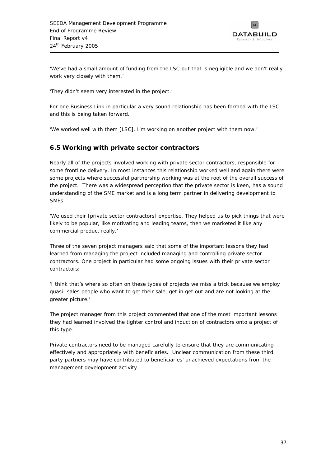

<span id="page-41-0"></span>*'We've had a small amount of funding from the LSC but that is negligible and we don't really work very closely with them.'* 

*'They didn't seem very interested in the project.'* 

For one Business Link in particular a very sound relationship has been formed with the LSC and this is being taken forward.

*'We worked well with them [LSC]. I'm working on another project with them now.'*

# **6.5 Working with private sector contractors**

Nearly all of the projects involved working with private sector contractors, responsible for some frontline delivery. In most instances this relationship worked well and again there were some projects where successful partnership working was at the root of the overall success of the project. There was a widespread perception that the private sector is keen, has a sound understanding of the SME market and is a long term partner in delivering development to SMEs.

*'We used their [private sector contractors] expertise. They helped us to pick things that were likely to be popular, like motivating and leading teams, then we marketed it like any commercial product really.'* 

Three of the seven project managers said that some of the important lessons they had learned from managing the project included managing and controlling private sector contractors. One project in particular had some ongoing issues with their private sector contractors:

*'I think that's where so often on these types of projects we miss a trick because we employ quasi- sales people who want to get their sale, get in get out and are not looking at the greater picture.'* 

The project manager from this project commented that one of the most important lessons they had learned involved the tighter control and induction of contractors onto a project of this type.

Private contractors need to be managed carefully to ensure that they are communicating effectively and appropriately with beneficiaries. Unclear communication from these third party partners may have contributed to beneficiaries' unachieved expectations from the management development activity.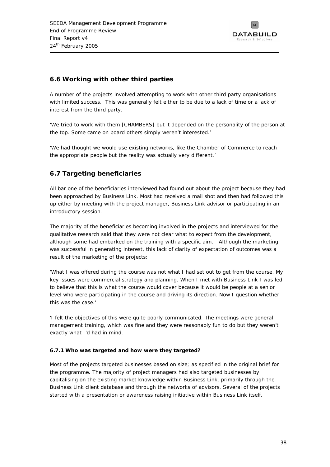

# <span id="page-42-0"></span>**6.6 Working with other third parties**

A number of the projects involved attempting to work with other third party organisations with limited success. This was generally felt either to be due to a lack of time or a lack of interest from the third party.

*'We tried to work with them [CHAMBERS] but it depended on the personality of the person at the top. Some came on board others simply weren't interested.'* 

*'We had thought we would use existing networks, like the Chamber of Commerce to reach the appropriate people but the reality was actually very different.'* 

# **6.7 Targeting beneficiaries**

All bar one of the beneficiaries interviewed had found out about the project because they had been approached by Business Link. Most had received a mail shot and then had followed this up either by meeting with the project manager, Business Link advisor or participating in an introductory session.

The majority of the beneficiaries becoming involved in the projects and interviewed for the qualitative research said that they were not clear what to expect from the development, although some had embarked on the training with a specific aim. Although the marketing was successful in generating interest, this lack of clarity of expectation of outcomes was a result of the marketing of the projects:

*'What I was offered during the course was not what I had set out to get from the course. My key issues were commercial strategy and planning. When I met with Business Link I was led to believe that this is what the course would cover because it would be people at a senior level who were participating in the course and driving its direction. Now I question whether this was the case.'* 

*'I felt the objectives of this were quite poorly communicated. The meetings were general* management training, which was fine and they were reasonably fun to do but they weren't *exactly what I'd had in mind.* 

### **6.7.1 Who was targeted and how were they targeted?**

Most of the projects targeted businesses based on size; as specified in the original brief for the programme. The majority of project managers had also targeted businesses by capitalising on the existing market knowledge within Business Link, primarily through the Business Link client database and through the networks of advisors. Several of the projects started with a presentation or awareness raising initiative within Business Link itself.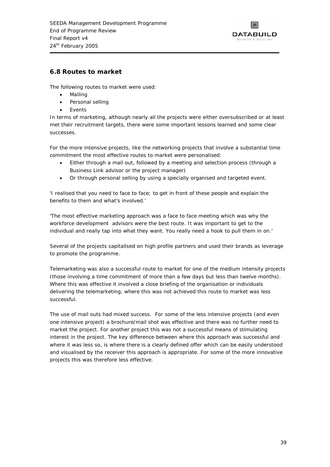

### <span id="page-43-0"></span>**6.8 Routes to market**

The following routes to market were used:

- Mailing
- Personal selling
- **Events**

In terms of marketing, although nearly all the projects were either oversubscribed or at least met their recruitment targets, there were some important lessons learned and some clear successes.

For the more intensive projects, like the networking projects that involve a substantial time commitment the most effective routes to market were personalised:

- Either through a mail out, followed by a meeting and selection process (through a Business Link advisor or the project manager)
- Or through personal selling by using a specially organised and targeted event.

*'I realised that you need to face to face; to get in front of these people and explain the benefits to them and what's involved.'* 

*'The most effective marketing approach was a face to face meeting which was why the workforce development advisors were the best route. It was important to get to the individual and really tap into what they want. You really need a hook to pull them in on.'* 

Several of the projects capitalised on high profile partners and used their brands as leverage to promote the programme.

Telemarketing was also a successful route to market for one of the medium intensity projects (those involving a time commitment of more than a few days but less than twelve months). Where this was effective it involved a close briefing of the organisation or individuals delivering the telemarketing, where this was not achieved this route to market was less successful.

The use of mail outs had mixed success. For some of the less intensive projects (and even one intensive project) a brochure/mail shot was effective and there was no further need to market the project. For another project this was not a successful means of stimulating interest in the project. The key difference between where this approach was successful and where it was less so, is where there is a clearly defined offer which can be easily understood and visualised by the receiver this approach is appropriate. For some of the more innovative projects this was therefore less effective.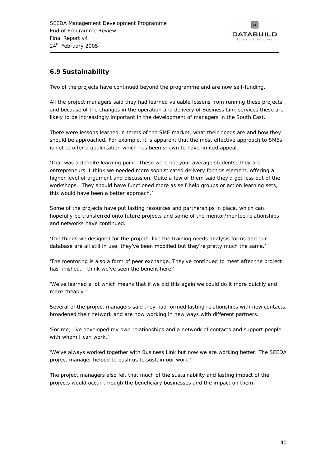

# <span id="page-44-0"></span>**6.9 Sustainability**

Two of the projects have continued beyond the programme and are now self-funding.

All the project managers said they had learned valuable lessons from running these projects and because of the changes in the operation and delivery of Business Link services these are likely to be increasingly important in the development of managers in the South East.

There were lessons learned in terms of the SME market, what their needs are and how they should be approached. For example, it is apparent that the most effective approach to SMEs is not to offer a qualification which has been shown to have limited appeal.

*'That was a definite learning point. These were not your average students; they are entrepreneurs. I think we needed more sophisticated delivery for this element, offering a higher level of argument and discussion. Quite a few of them said they'd got less out of the workshops. They should have functioned more as self-help groups or action learning sets, this would have been a better approach.'* 

Some of the projects have put lasting resources and partnerships in place, which can hopefully be transferred onto future projects and some of the mentor/mentee relationships and networks have continued.

*'The things we designed for the project, like the training needs analysis forms and our database are all still in use, they've been modified but they're pretty much the same.'* 

*'The mentoring is also a form of peer exchange. They've continued to meet after the project has finished. I think we've seen the benefit here.'* 

'We've learned a lot which means that if we did this again we could do it more quickly and *more cheaply.'* 

Several of the project managers said they had formed lasting relationships with new contacts, broadened their network and are now working in new ways with different partners.

*'For me, I've developed my own relationships and a network of contacts and support people with whom I can work.'* 

*'We've always worked together with Business Link but now we are working better. The SEEDA project manager helped to push us to sustain our work.'* 

The project managers also felt that much of the sustainability and lasting impact of the projects would occur through the beneficiary businesses and the impact on them.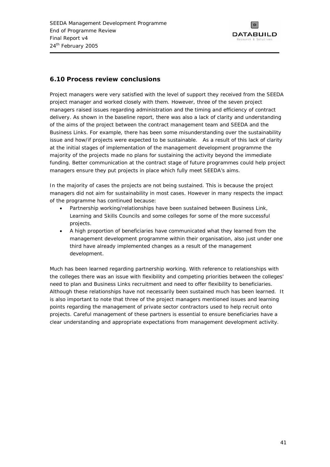

### <span id="page-45-0"></span>**6.10 Process review conclusions**

Project managers were very satisfied with the level of support they received from the SEEDA project manager and worked closely with them. However, three of the seven project managers raised issues regarding administration and the timing and efficiency of contract delivery. As shown in the baseline report, there was also a lack of clarity and understanding of the aims of the project between the contract management team and SEEDA and the Business Links. For example, there has been some misunderstanding over the sustainability issue and how/if projects were expected to be sustainable. As a result of this lack of clarity at the initial stages of implementation of the management development programme the majority of the projects made no plans for sustaining the activity beyond the immediate funding. Better communication at the contract stage of future programmes could help project managers ensure they put projects in place which fully meet SEEDA's aims.

In the majority of cases the projects are not being sustained. This is because the project managers did not aim for sustainability in most cases. However in many respects the impact of the programme has continued because:

- Partnership working/relationships have been sustained between Business Link, Learning and Skills Councils and some colleges for some of the more successful projects.
- A high proportion of beneficiaries have communicated what they learned from the management development programme within their organisation, also just under one third have already implemented changes as a result of the management development.

Much has been learned regarding partnership working. With reference to relationships with the colleges there was an issue with flexibility and competing priorities between the colleges' need to plan and Business Links recruitment and need to offer flexibility to beneficiaries. Although these relationships have not necessarily been sustained much has been learned. It is also important to note that three of the project managers mentioned issues and learning points regarding the management of private sector contractors used to help recruit onto projects. Careful management of these partners is essential to ensure beneficiaries have a clear understanding and appropriate expectations from management development activity.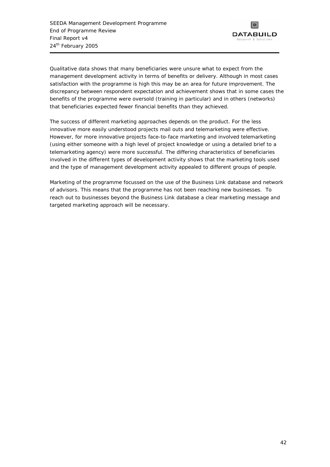

Qualitative data shows that many beneficiaries were unsure what to expect from the management development activity in terms of benefits or delivery. Although in most cases satisfaction with the programme is high this may be an area for future improvement. The discrepancy between respondent expectation and achievement shows that in some cases the benefits of the programme were oversold (training in particular) and in others (networks) that beneficiaries expected fewer financial benefits than they achieved.

The success of different marketing approaches depends on the product. For the less innovative more easily understood projects mail outs and telemarketing were effective. However, for more innovative projects face-to-face marketing and involved telemarketing (using either someone with a high level of project knowledge or using a detailed brief to a telemarketing agency) were more successful. The differing characteristics of beneficiaries involved in the different types of development activity shows that the marketing tools used and the type of management development activity appealed to different groups of people.

Marketing of the programme focussed on the use of the Business Link database and network of advisors. This means that the programme has not been reaching new businesses. To reach out to businesses beyond the Business Link database a clear marketing message and targeted marketing approach will be necessary.